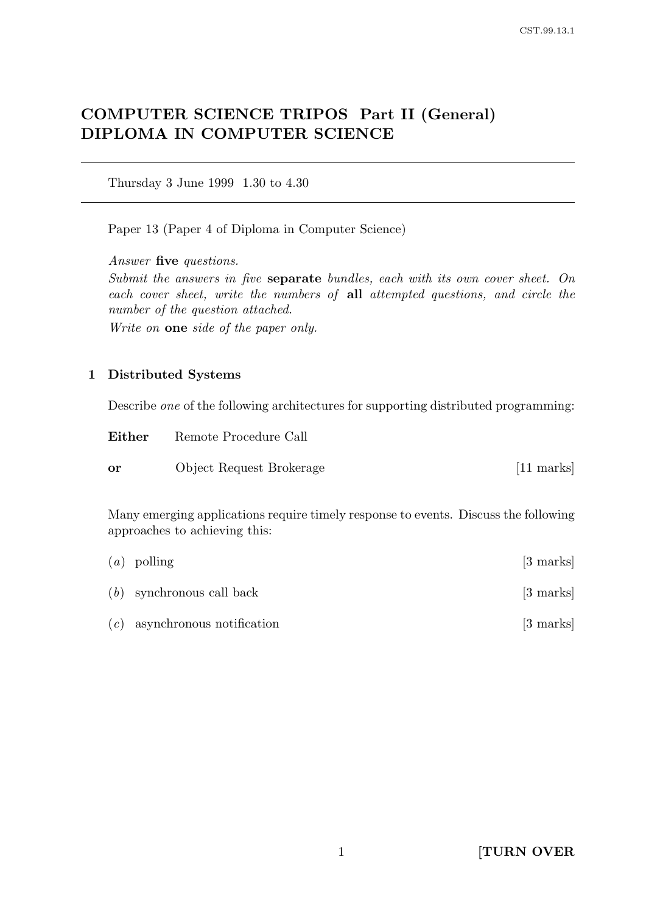# COMPUTER SCIENCE TRIPOS Part II (General) DIPLOMA IN COMPUTER SCIENCE

Thursday 3 June 1999 1.30 to 4.30

Paper 13 (Paper 4 of Diploma in Computer Science)

Answer five questions.

Submit the answers in five separate bundles, each with its own cover sheet. On each cover sheet, write the numbers of all attempted questions, and circle the number of the question attached.

Write on one side of the paper only.

### 1 Distributed Systems

Describe one of the following architectures for supporting distributed programming:

| Either    | Remote Procedure Call    |             |
|-----------|--------------------------|-------------|
| <b>or</b> | Object Request Brokerage | $[11$ marks |

Many emerging applications require timely response to events. Discuss the following approaches to achieving this:

| $(a)$ polling                   | $[3 \text{ marks}]$ |
|---------------------------------|---------------------|
| $(b)$ synchronous call back     | [3 marks]           |
| $(c)$ asynchronous notification | $[3 \text{ marks}]$ |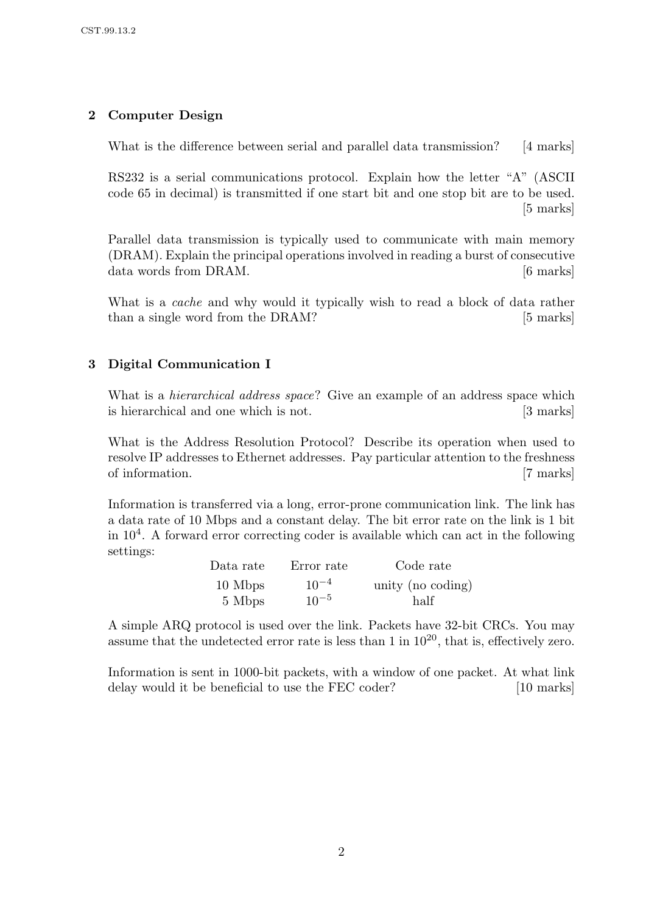# 2 Computer Design

What is the difference between serial and parallel data transmission? [4 marks]

RS232 is a serial communications protocol. Explain how the letter "A" (ASCII code 65 in decimal) is transmitted if one start bit and one stop bit are to be used. [5 marks]

Parallel data transmission is typically used to communicate with main memory (DRAM). Explain the principal operations involved in reading a burst of consecutive data words from DRAM.  $\left|6 \right\rangle$  marks]

What is a *cache* and why would it typically wish to read a block of data rather than a single word from the DRAM? [5 marks]

# 3 Digital Communication I

What is a *hierarchical address space*? Give an example of an address space which is hierarchical and one which is not. [3 marks]

What is the Address Resolution Protocol? Describe its operation when used to resolve IP addresses to Ethernet addresses. Pay particular attention to the freshness of information. [7 marks]

Information is transferred via a long, error-prone communication link. The link has a data rate of 10 Mbps and a constant delay. The bit error rate on the link is 1 bit in  $10<sup>4</sup>$ . A forward error correcting coder is available which can act in the following settings:

| Data rate | Error rate | Code rate         |
|-----------|------------|-------------------|
| 10 Mbps   | $10^{-4}$  | unity (no coding) |
| 5 Mbps    | $10^{-5}$  | half              |

A simple ARQ protocol is used over the link. Packets have 32-bit CRCs. You may assume that the undetected error rate is less than  $1$  in  $10^{20}$ , that is, effectively zero.

Information is sent in 1000-bit packets, with a window of one packet. At what link delay would it be beneficial to use the FEC coder? [10 marks]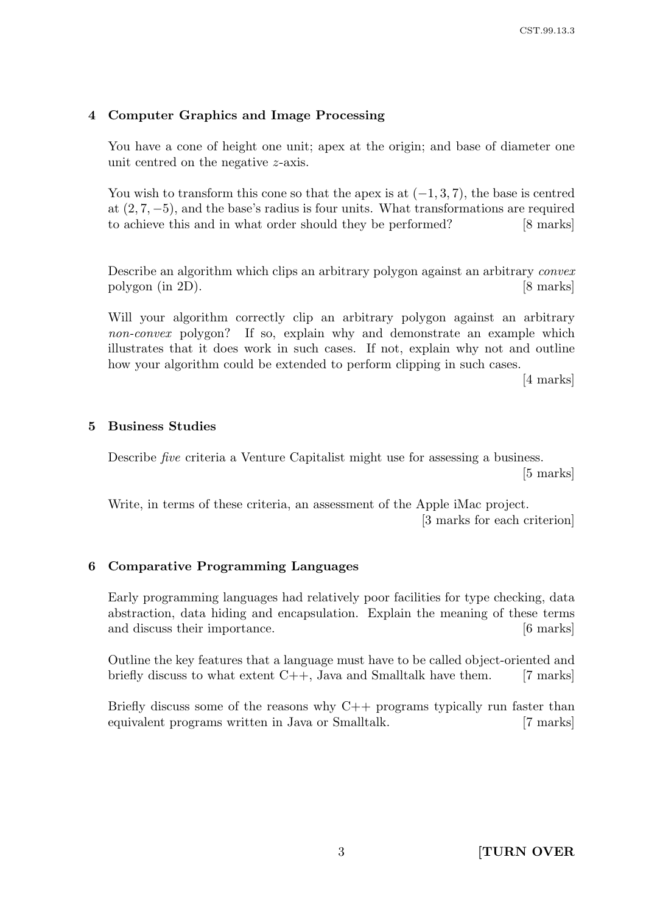### 4 Computer Graphics and Image Processing

You have a cone of height one unit; apex at the origin; and base of diameter one unit centred on the negative z-axis.

You wish to transform this cone so that the apex is at  $(-1, 3, 7)$ , the base is centred at (2, 7, −5), and the base's radius is four units. What transformations are required to achieve this and in what order should they be performed? [8 marks]

Describe an algorithm which clips an arbitrary polygon against an arbitrary convex polygon (in 2D). [8 marks]

Will your algorithm correctly clip an arbitrary polygon against an arbitrary non-convex polygon? If so, explain why and demonstrate an example which illustrates that it does work in such cases. If not, explain why not and outline how your algorithm could be extended to perform clipping in such cases.

[4 marks]

#### 5 Business Studies

Describe five criteria a Venture Capitalist might use for assessing a business. [5 marks]

Write, in terms of these criteria, an assessment of the Apple iMac project. [3 marks for each criterion]

### 6 Comparative Programming Languages

Early programming languages had relatively poor facilities for type checking, data abstraction, data hiding and encapsulation. Explain the meaning of these terms and discuss their importance. [6 marks]

Outline the key features that a language must have to be called object-oriented and briefly discuss to what extent  $C_{++}$ , Java and Smalltalk have them. [7 marks]

Briefly discuss some of the reasons why  $C++$  programs typically run faster than equivalent programs written in Java or Smalltalk. [7 marks]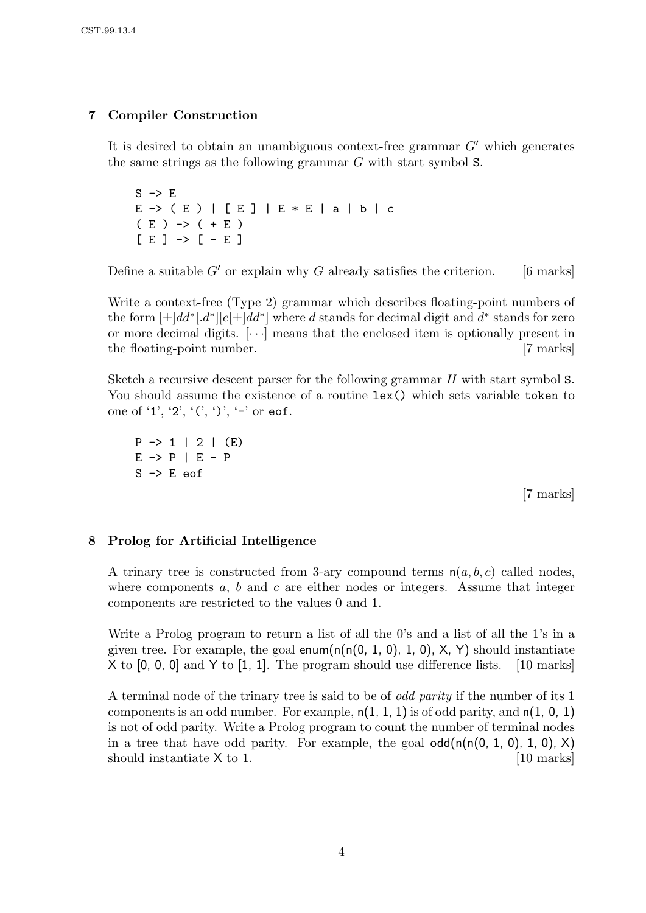# 7 Compiler Construction

It is desired to obtain an unambiguous context-free grammar  $G'$  which generates the same strings as the following grammar G with start symbol S.

 $S \rightarrow E$ E -> ( E ) | [ E ] | E \* E | a | b | c  $(E)$   $\rightarrow$   $( + E)$  $[E] \rightarrow [-E]$ 

Define a suitable  $G'$  or explain why G already satisfies the criterion. [6 marks]

Write a context-free (Type 2) grammar which describes floating-point numbers of the form  $[\pm]dd^*$ .  $d^*$ ] $[e[\pm]dd^*]$  where d stands for decimal digit and  $d^*$  stands for zero or more decimal digits.  $[\cdots]$  means that the enclosed item is optionally present in the floating-point number. [7 marks]

Sketch a recursive descent parser for the following grammar H with start symbol S. You should assume the existence of a routine lex() which sets variable token to one of '1', '2', '(', ')', '-' or eof.

 $P \rightarrow 1$  | 2 | (E)  $E \rightarrow P \mid E - P$ S -> E eof

[7 marks]

### 8 Prolog for Artificial Intelligence

A trinary tree is constructed from 3-ary compound terms  $n(a, b, c)$  called nodes, where components  $a, b$  and  $c$  are either nodes or integers. Assume that integer components are restricted to the values 0 and 1.

Write a Prolog program to return a list of all the 0's and a list of all the 1's in a given tree. For example, the goal enum( $n(n(0, 1, 0), 1, 0)$ , X, Y) should instantiate X to [0, 0, 0] and Y to [1, 1]. The program should use difference lists. [10 marks]

A terminal node of the trinary tree is said to be of odd parity if the number of its 1 components is an odd number. For example,  $n(1, 1, 1)$  is of odd parity, and  $n(1, 0, 1)$ is not of odd parity. Write a Prolog program to count the number of terminal nodes in a tree that have odd parity. For example, the goal  $\text{odd}(n(n(0, 1, 0), 1, 0), X)$ should instantiate  $X$  to 1. [10 marks]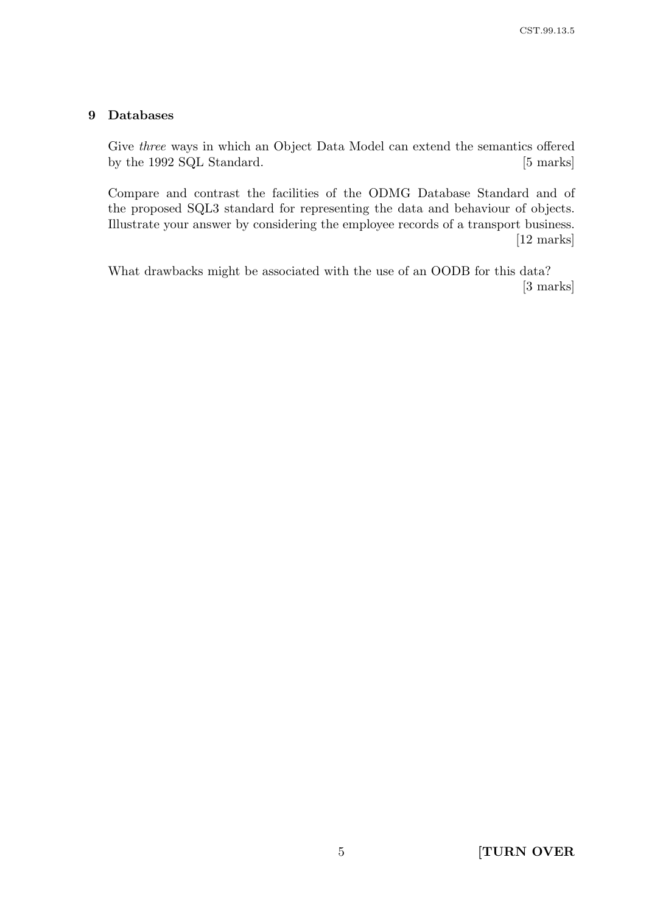# 9 Databases

Give three ways in which an Object Data Model can extend the semantics offered by the 1992 SQL Standard. [5 marks]

Compare and contrast the facilities of the ODMG Database Standard and of the proposed SQL3 standard for representing the data and behaviour of objects. Illustrate your answer by considering the employee records of a transport business. [12 marks]

What drawbacks might be associated with the use of an OODB for this data? [3 marks]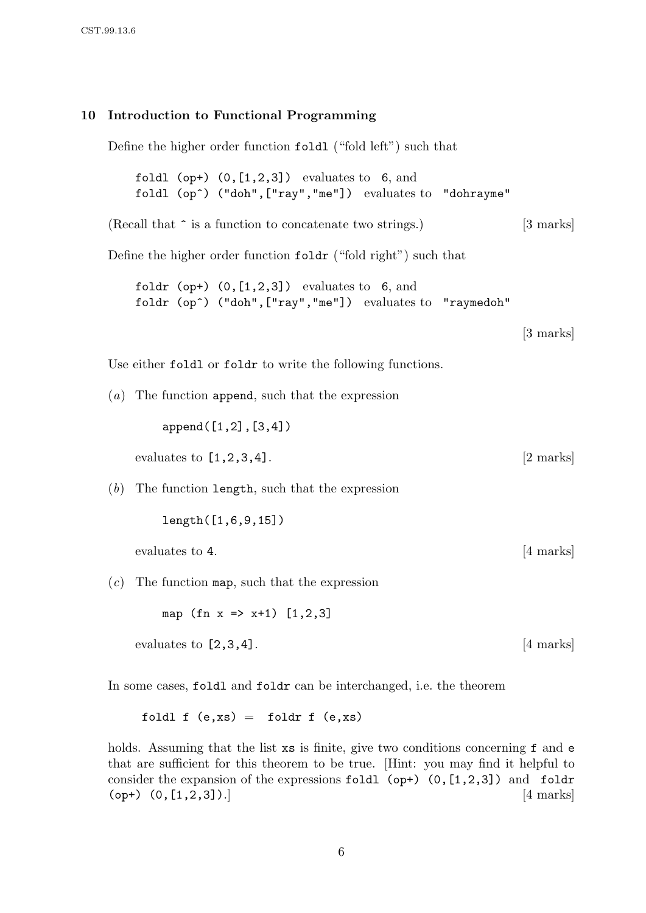#### 10 Introduction to Functional Programming

Define the higher order function foldl ("fold left") such that

foldl (op+)  $(0, [1,2,3])$  evaluates to 6, and foldl (op^) ("doh",["ray","me"]) evaluates to "dohrayme"

(Recall that  $\hat{\ }$  is a function to concatenate two strings.) [3 marks]

Define the higher order function foldr ("fold right") such that

foldr (op+)  $(0, [1, 2, 3])$  evaluates to 6, and foldr (op^) ("doh", ["ray", "me"]) evaluates to "raymedoh"

[3 marks]

Use either foldl or foldr to write the following functions.

(a) The function append, such that the expression

append([1,2],[3,4])

evaluates to  $[1,2,3,4]$ . [2 marks]

 $(b)$  The function length, such that the expression

length([1,6,9,15])

evaluates to 4. [4 marks]

 $(c)$  The function map, such that the expression

map (fn  $x \Rightarrow x+1$ ) [1,2,3]

evaluates to  $[2,3,4]$ . [4 marks]

In some cases, foldl and foldr can be interchanged, i.e. the theorem

foldl f  $(e, xs) = foldr f (e, xs)$ 

holds. Assuming that the list xs is finite, give two conditions concerning f and e that are sufficient for this theorem to be true. [Hint: you may find it helpful to consider the expansion of the expressions foldl (op+)  $(0, [1, 2, 3])$  and foldr (op+)  $(0, [1, 2, 3])$ .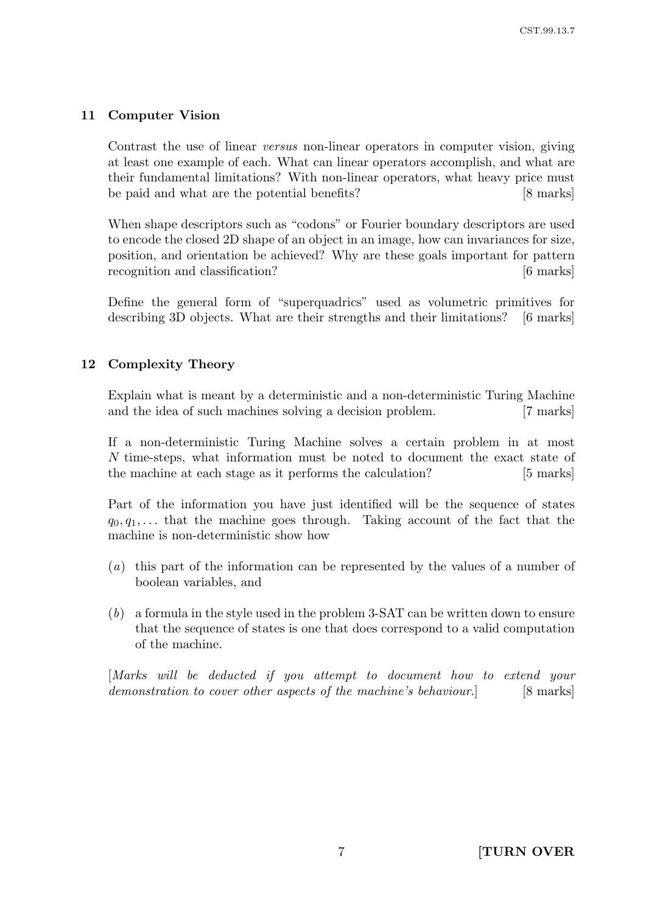# 11 Computer Vision

Contrast the use of linear versus non-linear operators in computer vision, giving at least one example of each. What can linear operators accomplish, and what are their fundamental limitations? With non-linear operators, what heavy price must be paid and what are the potential benefits? [8 marks]

When shape descriptors such as "codons" or Fourier boundary descriptors are used to encode the closed 2D shape of an object in an image, how can invariances for size, position, and orientation be achieved? Why are these goals important for pattern recognition and classification? [6 marks]

Define the general form of "superquadrics" used as volumetric primitives for describing 3D objects. What are their strengths and their limitations? [6 marks]

### 12 Complexity Theory

Explain what is meant by a deterministic and a non-deterministic Turing Machine and the idea of such machines solving a decision problem. [7 marks]

If a non-deterministic Turing Machine solves a certain problem in at most N time-steps, what information must be noted to document the exact state of the machine at each stage as it performs the calculation? [5 marks]

Part of the information you have just identified will be the sequence of states  $q_0, q_1, \ldots$  that the machine goes through. Taking account of the fact that the machine is non-deterministic show how

- (a) this part of the information can be represented by the values of a number of boolean variables, and
- (b) a formula in the style used in the problem 3-SAT can be written down to ensure that the sequence of states is one that does correspond to a valid computation of the machine.

[Marks will be deducted if you attempt to document how to extend your demonstration to cover other aspects of the machine's behaviour. [8 marks]